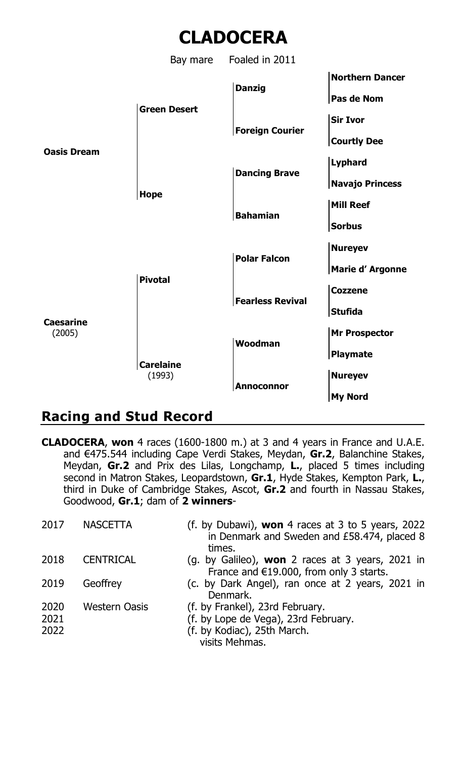

## **Racing and Stud Record**

**CLADOCERA**, **won** 4 races (1600-1800 m.) at 3 and 4 years in France and U.A.E. and €475.544 including Cape Verdi Stakes, Meydan, **Gr.2**, Balanchine Stakes, Meydan, **Gr.2** and Prix des Lilas, Longchamp, **L.**, placed 5 times including second in Matron Stakes, Leopardstown, **Gr.1**, Hyde Stakes, Kempton Park, **L.**, third in Duke of Cambridge Stakes, Ascot, **Gr.2** and fourth in Nassau Stakes, Goodwood, **Gr.1**; dam of **2 winners**-

| 2017                 | <b>NASCETTA</b>  | (f. by Dubawi), <b>won</b> 4 races at 3 to 5 years, 2022<br>in Denmark and Sweden and £58.474, placed 8<br>times.        |
|----------------------|------------------|--------------------------------------------------------------------------------------------------------------------------|
| 2018                 | <b>CENTRICAL</b> | (g. by Galileo), <b>won</b> 2 races at 3 years, 2021 in<br>France and €19.000, from only 3 starts.                       |
| 2019                 | Geoffrev         | (c. by Dark Angel), ran once at 2 years, 2021 in<br>Denmark.                                                             |
| 2020<br>2021<br>2022 | Western Oasis    | (f. by Frankel), 23rd February.<br>(f. by Lope de Vega), 23rd February.<br>(f. by Kodiac), 25th March.<br>visits Mehmas. |